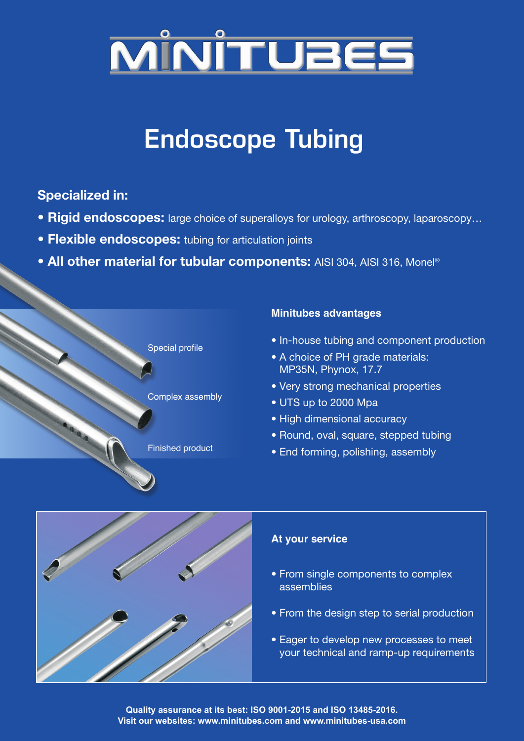

# Endoscope Tubing

### **Specialized in:**

- **Rigid endoscopes:** large choice of superalloys for urology, arthroscopy, laparoscopy…
- **Flexible endoscopes:** tubing for articulation joints
- **All other material for tubular components:** AISI 304, AISI 316, Monel®



#### **Minitubes advantages**

- In-house tubing and component production
- A choice of PH grade materials: MP35N, Phynox, 17.7
- Very strong mechanical properties
- UTS up to 2000 Mpa
- High dimensional accuracy
- Round, oval, square, stepped tubing
- End forming, polishing, assembly



#### **At your service**

- From single components to complex assemblies
- From the design step to serial production
- Eager to develop new processes to meet your technical and ramp-up requirements

**Quality assurance at its best: ISO 9001-2015 and ISO 13485-2016. Visit our websites: www.minitubes.com and www.minitubes-usa.com**